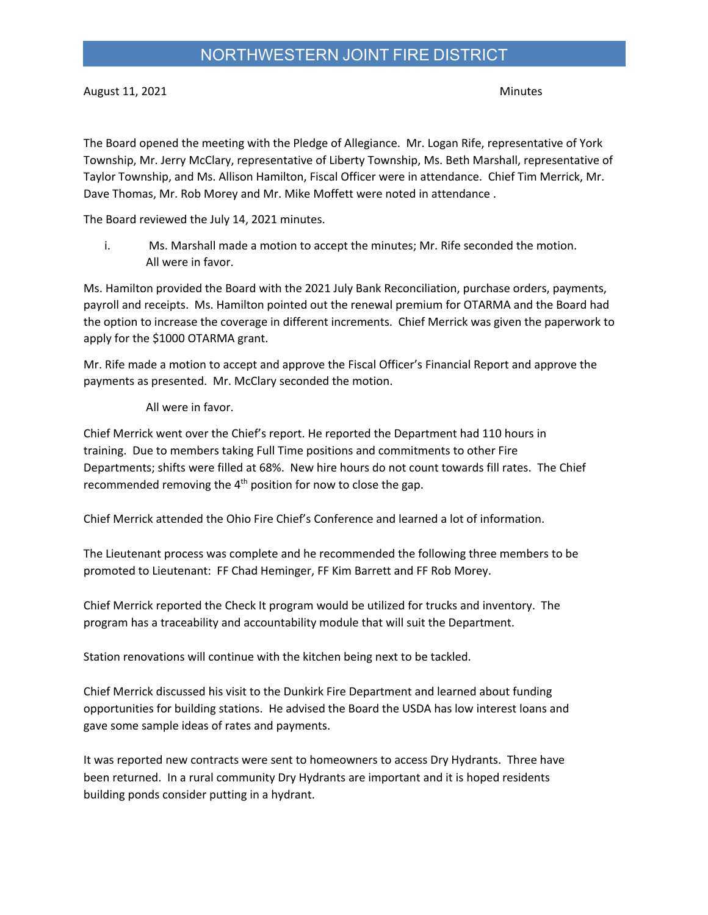## NORTHWESTERN JOINT FIRE DISTRICT

August 11, 2021 **Minutes** 

The Board opened the meeting with the Pledge of Allegiance. Mr. Logan Rife, representative of York Township, Mr. Jerry McClary, representative of Liberty Township, Ms. Beth Marshall, representative of Taylor Township, and Ms. Allison Hamilton, Fiscal Officer were in attendance. Chief Tim Merrick, Mr. Dave Thomas, Mr. Rob Morey and Mr. Mike Moffett were noted in attendance .

The Board reviewed the July 14, 2021 minutes.

i. Ms. Marshall made a motion to accept the minutes; Mr. Rife seconded the motion. All were in favor.

Ms. Hamilton provided the Board with the 2021 July Bank Reconciliation, purchase orders, payments, payroll and receipts. Ms. Hamilton pointed out the renewal premium for OTARMA and the Board had the option to increase the coverage in different increments. Chief Merrick was given the paperwork to apply for the \$1000 OTARMA grant.

Mr. Rife made a motion to accept and approve the Fiscal Officer's Financial Report and approve the payments as presented. Mr. McClary seconded the motion.

All were in favor.

Chief Merrick went over the Chief's report. He reported the Department had 110 hours in training. Due to members taking Full Time positions and commitments to other Fire Departments; shifts were filled at 68%. New hire hours do not count towards fill rates. The Chief recommended removing the  $4<sup>th</sup>$  position for now to close the gap.

Chief Merrick attended the Ohio Fire Chief's Conference and learned a lot of information.

The Lieutenant process was complete and he recommended the following three members to be promoted to Lieutenant: FF Chad Heminger, FF Kim Barrett and FF Rob Morey.

Chief Merrick reported the Check It program would be utilized for trucks and inventory. The program has a traceability and accountability module that will suit the Department.

Station renovations will continue with the kitchen being next to be tackled.

Chief Merrick discussed his visit to the Dunkirk Fire Department and learned about funding opportunities for building stations. He advised the Board the USDA has low interest loans and gave some sample ideas of rates and payments.

It was reported new contracts were sent to homeowners to access Dry Hydrants. Three have been returned. In a rural community Dry Hydrants are important and it is hoped residents building ponds consider putting in a hydrant.